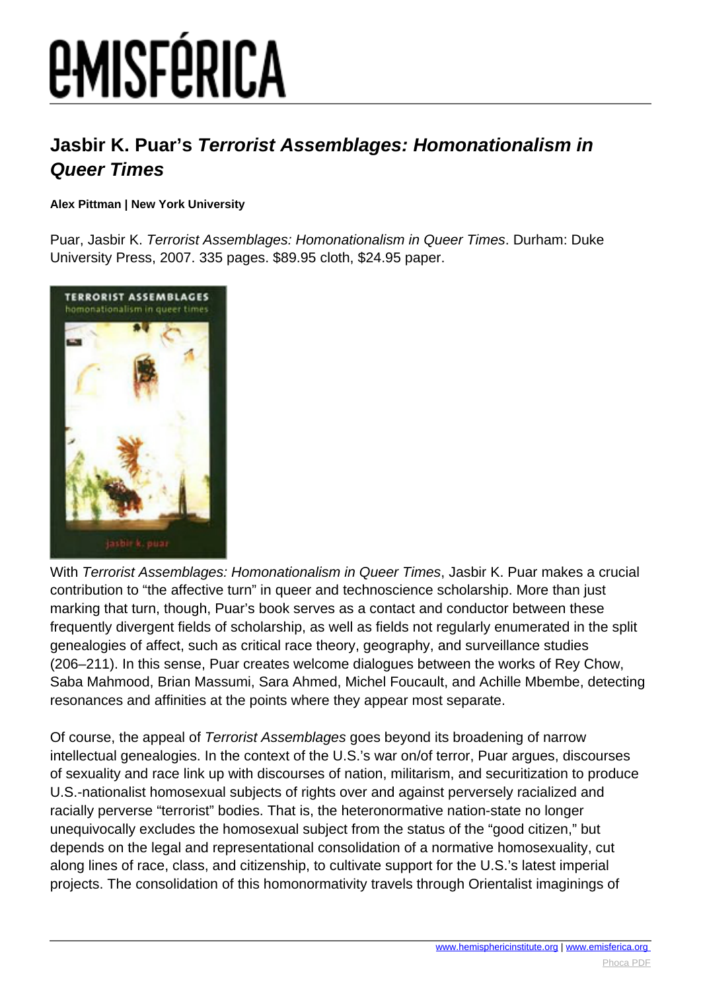# *EMISFÉRICA*

### **Jasbir K. Puar's Terrorist Assemblages: Homonationalism in Queer Times**

#### **Alex Pittman | New York University**

Puar, Jasbir K. Terrorist Assemblages: Homonationalism in Queer Times. Durham: Duke University Press, 2007. 335 pages. \$89.95 cloth, \$24.95 paper.



With Terrorist Assemblages: Homonationalism in Queer Times, Jasbir K. Puar makes a crucial contribution to "the affective turn" in queer and technoscience scholarship. More than just marking that turn, though, Puar's book serves as a contact and conductor between these frequently divergent fields of scholarship, as well as fields not regularly enumerated in the split genealogies of affect, such as critical race theory, geography, and surveillance studies (206–211). In this sense, Puar creates welcome dialogues between the works of Rey Chow, Saba Mahmood, Brian Massumi, Sara Ahmed, Michel Foucault, and Achille Mbembe, detecting resonances and affinities at the points where they appear most separate.

Of course, the appeal of Terrorist Assemblages goes beyond its broadening of narrow intellectual genealogies. In the context of the U.S.'s war on/of terror, Puar argues, discourses of sexuality and race link up with discourses of nation, militarism, and securitization to produce U.S.-nationalist homosexual subjects of rights over and against perversely racialized and racially perverse "terrorist" bodies. That is, the heteronormative nation-state no longer unequivocally excludes the homosexual subject from the status of the "good citizen," but depends on the legal and representational consolidation of a normative homosexuality, cut along lines of race, class, and citizenship, to cultivate support for the U.S.'s latest imperial projects. The consolidation of this homonormativity travels through Orientalist imaginings of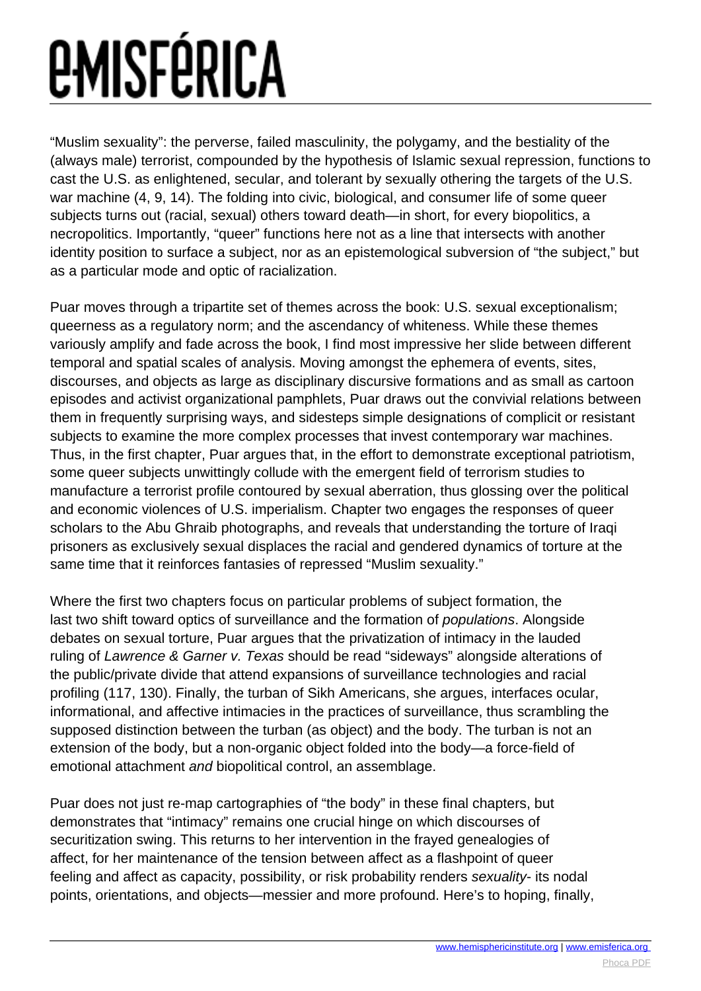## *<u>EMISFÉRICA</u>*

"Muslim sexuality": the perverse, failed masculinity, the polygamy, and the bestiality of the (always male) terrorist, compounded by the hypothesis of Islamic sexual repression, functions to cast the U.S. as enlightened, secular, and tolerant by sexually othering the targets of the U.S. war machine (4, 9, 14). The folding into civic, biological, and consumer life of some queer subjects turns out (racial, sexual) others toward death—in short, for every biopolitics, a necropolitics. Importantly, "queer" functions here not as a line that intersects with another identity position to surface a subject, nor as an epistemological subversion of "the subject," but as a particular mode and optic of racialization.

Puar moves through a tripartite set of themes across the book: U.S. sexual exceptionalism; queerness as a regulatory norm; and the ascendancy of whiteness. While these themes variously amplify and fade across the book, I find most impressive her slide between different temporal and spatial scales of analysis. Moving amongst the ephemera of events, sites, discourses, and objects as large as disciplinary discursive formations and as small as cartoon episodes and activist organizational pamphlets, Puar draws out the convivial relations between them in frequently surprising ways, and sidesteps simple designations of complicit or resistant subjects to examine the more complex processes that invest contemporary war machines. Thus, in the first chapter, Puar argues that, in the effort to demonstrate exceptional patriotism, some queer subjects unwittingly collude with the emergent field of terrorism studies to manufacture a terrorist profile contoured by sexual aberration, thus glossing over the political and economic violences of U.S. imperialism. Chapter two engages the responses of queer scholars to the Abu Ghraib photographs, and reveals that understanding the torture of Iraqi prisoners as exclusively sexual displaces the racial and gendered dynamics of torture at the same time that it reinforces fantasies of repressed "Muslim sexuality."

Where the first two chapters focus on particular problems of subject formation, the last two shift toward optics of surveillance and the formation of populations. Alongside debates on sexual torture, Puar argues that the privatization of intimacy in the lauded ruling of Lawrence & Garner v. Texas should be read "sideways" alongside alterations of the public/private divide that attend expansions of surveillance technologies and racial profiling (117, 130). Finally, the turban of Sikh Americans, she argues, interfaces ocular, informational, and affective intimacies in the practices of surveillance, thus scrambling the supposed distinction between the turban (as object) and the body. The turban is not an extension of the body, but a non-organic object folded into the body—a force-field of emotional attachment and biopolitical control, an assemblage.

Puar does not just re-map cartographies of "the body" in these final chapters, but demonstrates that "intimacy" remains one crucial hinge on which discourses of securitization swing. This returns to her intervention in the frayed genealogies of affect, for her maintenance of the tension between affect as a flashpoint of queer feeling and affect as capacity, possibility, or risk probability renders sexuality- its nodal points, orientations, and objects—messier and more profound. Here's to hoping, finally,